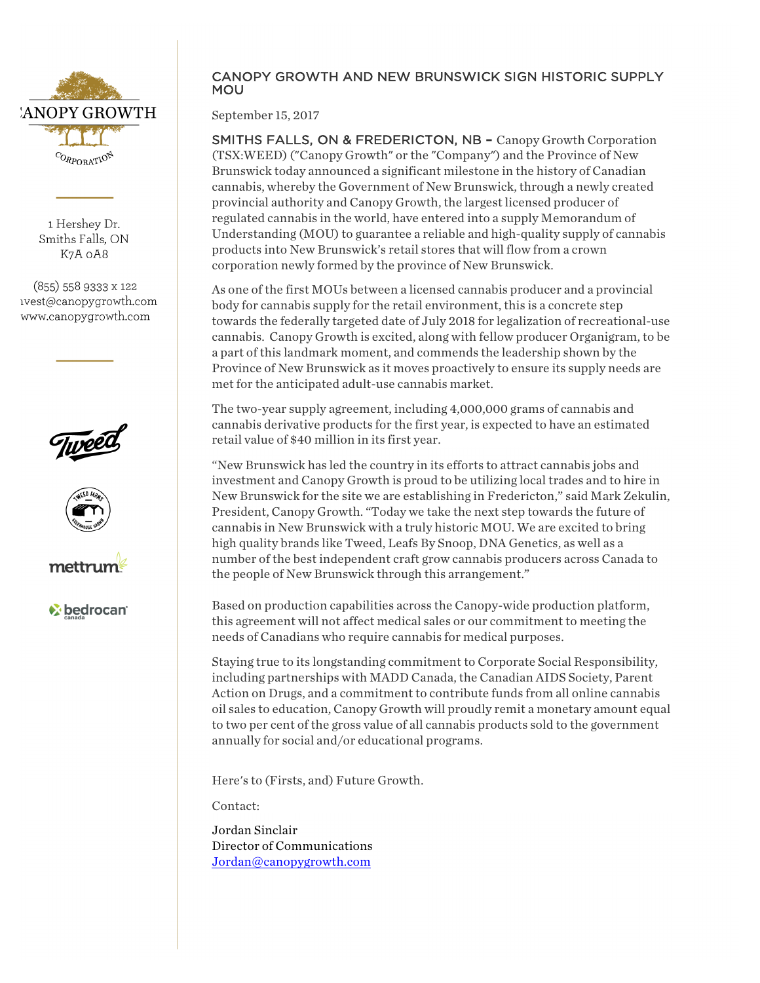

1 Hershey Dr. Smiths Falls, ON K7A oA8

(855) 558 9333 x 122 ivest@canopygrowth.com www.canopygrowth.com







*v* bedrocan

## CANOPY GROWTH AND NEW BRUNSWICK SIGN HISTORIC SUPPLY MOU

September 15, 2017

SMITHS FALLS, ON & FREDERICTON, NB **–** Canopy Growth Corporation (TSX:WEED) ("Canopy Growth" or the "Company") and the Province of New Brunswick today announced a significant milestone in the history of Canadian cannabis, whereby the Government of New Brunswick, through a newly created provincial authority and Canopy Growth, the largest licensed producer of regulated cannabis in the world, have entered into a supply Memorandum of Understanding (MOU) to guarantee a reliable and high-quality supply of cannabis products into New Brunswick's retail stores that will flow from a crown corporation newly formed by the province of New Brunswick.

As one of the first MOUs between a licensed cannabis producer and a provincial body for cannabis supply for the retail environment, this is a concrete step towards the federally targeted date of July 2018 for legalization of recreational-use cannabis. Canopy Growth is excited, along with fellow producer Organigram, to be a part of this landmark moment, and commends the leadership shown by the Province of New Brunswick as it moves proactively to ensure its supply needs are met for the anticipated adult-use cannabis market.

The two-year supply agreement, including 4,000,000 grams of cannabis and cannabis derivative products for the first year, is expected to have an estimated retail value of \$40 million in its first year.

"New Brunswick has led the country in its efforts to attract cannabis jobs and investment and Canopy Growth is proud to be utilizing local trades and to hire in New Brunswick for the site we are establishing in Fredericton," said Mark Zekulin, President, Canopy Growth. "Today we take the next step towards the future of cannabis in New Brunswick with a truly historic MOU. We are excited to bring high quality brands like Tweed, Leafs By Snoop, DNA Genetics, as well as a number of the best independent craft grow cannabis producers across Canada to the people of New Brunswick through this arrangement."

Based on production capabilities across the Canopy-wide production platform, this agreement will not affect medical sales or our commitment to meeting the needs of Canadians who require cannabis for medical purposes.

Staying true to its longstanding commitment to Corporate Social Responsibility, including partnerships with MADD Canada, the Canadian AIDS Society, Parent Action on Drugs, and a commitment to contribute funds from all online cannabis oil sales to education, Canopy Growth will proudly remit a monetary amount equal to two per cent of the gross value of all cannabis products sold to the government annually for social and/or educational programs.

Here's to (Firsts, and) Future Growth.

Contact:

Jordan Sinclair Director of Communications Jordan@canopygrowth.com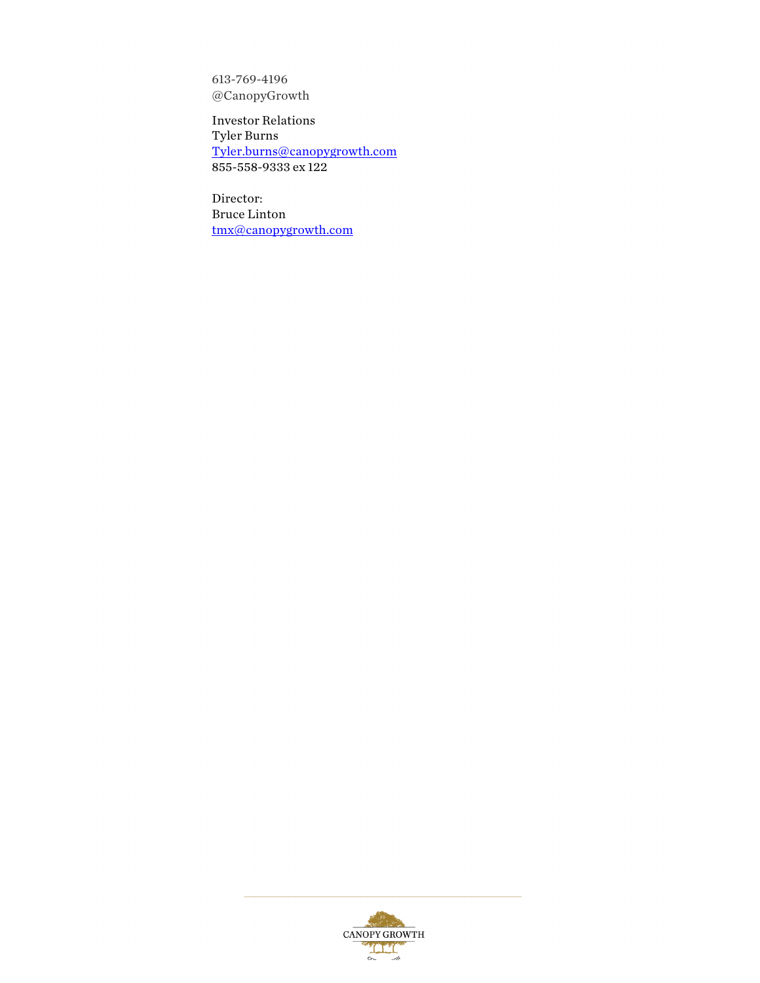613-769-4196 @CanopyGrowth

Investor Relations Tyler Burns Tyler.burns@canopygrowth.com 855-558-9333 ex 122

Director: Bruce Linton tmx@canopygrowth.com